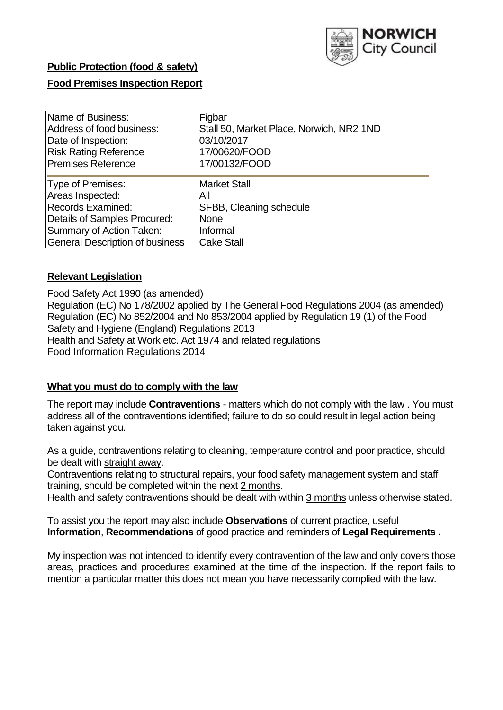

# **Public Protection (food & safety)**

## **Food Premises Inspection Report**

| Name of Business:<br>Address of food business:<br>Date of Inspection:<br><b>Risk Rating Reference</b><br><b>Premises Reference</b> | Figbar<br>Stall 50, Market Place, Norwich, NR2 1ND<br>03/10/2017<br>17/00620/FOOD<br>17/00132/FOOD |  |
|------------------------------------------------------------------------------------------------------------------------------------|----------------------------------------------------------------------------------------------------|--|
| Type of Premises:<br>Areas Inspected:                                                                                              | <b>Market Stall</b><br>All                                                                         |  |
| <b>Records Examined:</b>                                                                                                           | SFBB, Cleaning schedule                                                                            |  |
| Details of Samples Procured:                                                                                                       | <b>None</b>                                                                                        |  |
| Summary of Action Taken:                                                                                                           | Informal                                                                                           |  |
| <b>General Description of business</b>                                                                                             | <b>Cake Stall</b>                                                                                  |  |

#### **Relevant Legislation**

Food Safety Act 1990 (as amended) Regulation (EC) No 178/2002 applied by The General Food Regulations 2004 (as amended) Regulation (EC) No 852/2004 and No 853/2004 applied by Regulation 19 (1) of the Food Safety and Hygiene (England) Regulations 2013 Health and Safety at Work etc. Act 1974 and related regulations Food Information Regulations 2014

#### **What you must do to comply with the law**

The report may include **Contraventions** - matters which do not comply with the law . You must address all of the contraventions identified; failure to do so could result in legal action being taken against you.

As a guide, contraventions relating to cleaning, temperature control and poor practice, should be dealt with straight away.

Contraventions relating to structural repairs, your food safety management system and staff training, should be completed within the next 2 months.

Health and safety contraventions should be dealt with within 3 months unless otherwise stated.

To assist you the report may also include **Observations** of current practice, useful **Information**, **Recommendations** of good practice and reminders of **Legal Requirements .**

My inspection was not intended to identify every contravention of the law and only covers those areas, practices and procedures examined at the time of the inspection. If the report fails to mention a particular matter this does not mean you have necessarily complied with the law.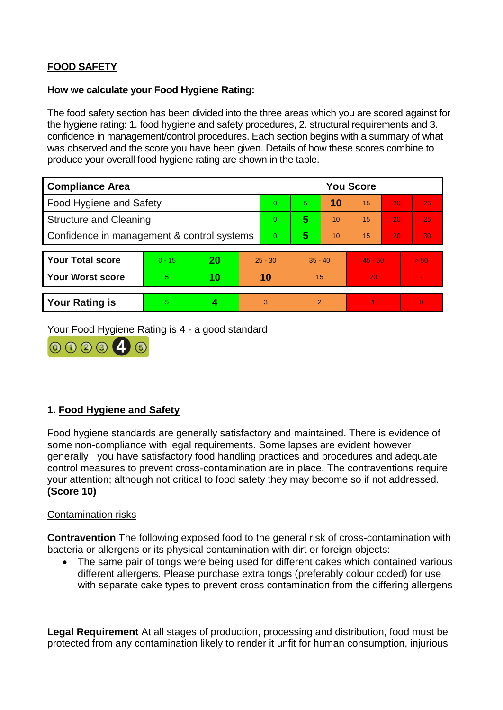# **FOOD SAFETY**

### **How we calculate your Food Hygiene Rating:**

The food safety section has been divided into the three areas which you are scored against for the hygiene rating: 1. food hygiene and safety procedures, 2. structural requirements and 3. confidence in management/control procedures. Each section begins with a summary of what was observed and the score you have been given. Details of how these scores combine to produce your overall food hygiene rating are shown in the table.

| <b>Compliance Area</b>                     |          |    |    | <b>You Score</b> |                |    |           |    |          |
|--------------------------------------------|----------|----|----|------------------|----------------|----|-----------|----|----------|
| Food Hygiene and Safety                    |          |    |    | $\Omega$         | 5 <sup>1</sup> | 10 | 15        | 20 | 25       |
| <b>Structure and Cleaning</b>              |          |    |    | $\Omega$         | 5              | 10 | 15        | 20 | 25       |
| Confidence in management & control systems |          |    |    | $\overline{0}$   | 5              | 10 | 15        | 20 | 30       |
|                                            |          |    |    |                  |                |    |           |    |          |
| <b>Your Total score</b>                    | $0 - 15$ | 20 |    | $25 - 30$        | $35 - 40$      |    | $45 - 50$ |    | > 50     |
| <b>Your Worst score</b>                    | 5.       | 10 | 10 |                  | 15             |    | 20        |    |          |
|                                            |          |    |    |                  |                |    |           |    |          |
| <b>Your Rating is</b>                      | 5        |    |    | 3                | $\overline{2}$ |    |           |    | $\Omega$ |

Your Food Hygiene Rating is 4 - a good standard



# **1. Food Hygiene and Safety**

Food hygiene standards are generally satisfactory and maintained. There is evidence of some non-compliance with legal requirements. Some lapses are evident however generally you have satisfactory food handling practices and procedures and adequate control measures to prevent cross-contamination are in place. The contraventions require your attention; although not critical to food safety they may become so if not addressed. **(Score 10)**

## Contamination risks

**Contravention** The following exposed food to the general risk of cross-contamination with bacteria or allergens or its physical contamination with dirt or foreign objects:

• The same pair of tongs were being used for different cakes which contained various different allergens. Please purchase extra tongs (preferably colour coded) for use with separate cake types to prevent cross contamination from the differing allergens

**Legal Requirement** At all stages of production, processing and distribution, food must be protected from any contamination likely to render it unfit for human consumption, injurious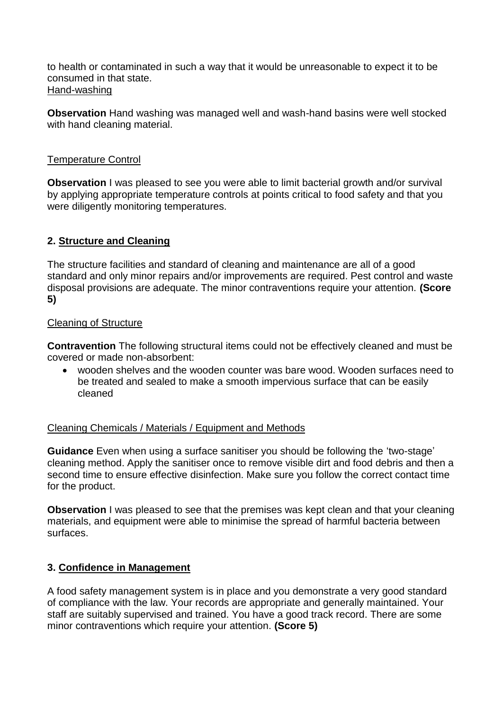to health or contaminated in such a way that it would be unreasonable to expect it to be consumed in that state. Hand-washing

**Observation** Hand washing was managed well and wash-hand basins were well stocked with hand cleaning material.

## Temperature Control

**Observation** I was pleased to see you were able to limit bacterial growth and/or survival by applying appropriate temperature controls at points critical to food safety and that you were diligently monitoring temperatures.

## **2. Structure and Cleaning**

The structure facilities and standard of cleaning and maintenance are all of a good standard and only minor repairs and/or improvements are required. Pest control and waste disposal provisions are adequate. The minor contraventions require your attention. **(Score 5)**

#### Cleaning of Structure

**Contravention** The following structural items could not be effectively cleaned and must be covered or made non-absorbent:

 wooden shelves and the wooden counter was bare wood. Wooden surfaces need to be treated and sealed to make a smooth impervious surface that can be easily cleaned

#### Cleaning Chemicals / Materials / Equipment and Methods

**Guidance** Even when using a surface sanitiser you should be following the 'two-stage' cleaning method. Apply the sanitiser once to remove visible dirt and food debris and then a second time to ensure effective disinfection. Make sure you follow the correct contact time for the product.

**Observation** I was pleased to see that the premises was kept clean and that your cleaning materials, and equipment were able to minimise the spread of harmful bacteria between surfaces.

#### **3. Confidence in Management**

A food safety management system is in place and you demonstrate a very good standard of compliance with the law. Your records are appropriate and generally maintained. Your staff are suitably supervised and trained. You have a good track record. There are some minor contraventions which require your attention. **(Score 5)**